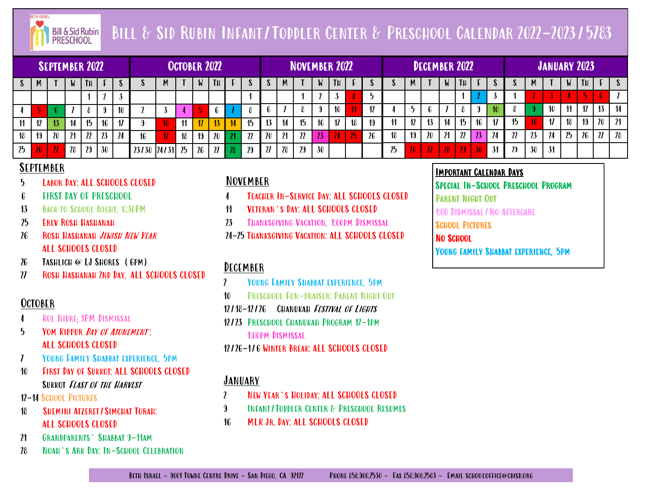

# Bill & Sid Rubin Infant/Toddler Center & Preschool Calendar 2022-2023/5783

|                     |    | SEPTEMBER 2022 ' |                 |               |    |                     |       |       | <b>OCTOBER 2022</b> |    |                 |                     |    |              |                 | <b>NOVEMBER 2022</b> |    |                     |    |    |    |   | DECEMBER 2022             |        |        |    |    |              |    | <b>JANUARY 2023</b> |    |     |                          |                 |
|---------------------|----|------------------|-----------------|---------------|----|---------------------|-------|-------|---------------------|----|-----------------|---------------------|----|--------------|-----------------|----------------------|----|---------------------|----|----|----|---|---------------------------|--------|--------|----|----|--------------|----|---------------------|----|-----|--------------------------|-----------------|
| <b>S</b>            |    |                  | W               | TН            |    |                     |       | M     |                     | V  | TH <sub>1</sub> |                     |    | J.           | M               |                      | W  | Tн                  |    |    |    | M |                           |        | $T\mu$ |    |    | <sup>0</sup> | M  |                     | W  | TH. |                          |                 |
|                     |    |                  |                 |               |    |                     |       |       |                     |    |                 |                     |    |              |                 |                      |    |                     |    |    |    |   |                           |        |        |    |    |              |    |                     |    |     |                          |                 |
|                     |    |                  |                 |               |    |                     |       |       |                     |    |                 |                     |    | <b>n</b>     |                 |                      |    | 10                  |    |    |    |   |                           |        |        |    |    |              |    | 10                  |    | 12  | 13                       | $\frac{14}{14}$ |
| $\boldsymbol{\eta}$ | 12 | 13               | $\overline{14}$ | 15            | 16 | $\boldsymbol{\eta}$ |       |       |                     |    |                 | $\mathbf{u}$        | 15 | 13           | $\overline{14}$ | 15                   | 16 | $\boldsymbol{\eta}$ | 18 | 19 | 11 |   |                           | 14     | 15     | 16 | 17 | 15           | 46 | $\boldsymbol{\eta}$ |    | 19  | 20                       | , 21            |
| 18                  | 19 | 20               | 21              | $\mathfrak v$ | 23 | 24                  | 16    |       | 18                  |    | 20              | $\boldsymbol{\eta}$ | 22 | 20           | 21              | 22                   | 23 |                     | 25 | 26 | 18 |   | 20                        |        |        |    | 24 | 22           | 23 | 24                  | 25 | 26  | $\overline{\mathbf{27}}$ | 28              |
| 25                  | 26 | $\boldsymbol{n}$ | 28              | 29            | 30 |                     | 23/30 | 24/31 | 25                  | 26 | $\mathfrak p$   |                     | 29 | $\mathbf{v}$ | 28              | 29                   | 30 |                     |    |    | 25 |   | $\overline{\mathfrak{p}}$ | $28-1$ |        | 30 | 31 | 29           | 30 | 31                  |    |     |                          |                 |

#### September

- 5 Labor Day: ALL SCHOOLS CLOSED
- 6 FIRST DAY OF PRESCHOOL
- 13 BACK TO SCHOOL NIGHT, 6:30PM
- 25 Erev Rosh Hashanah
- 26 ROSH HASHANAH JEWISH NEW YEAR ALL SCHOOLS CLOSED
- 26 TASHLICH @ LJ SHORES (6PM)
- 27 Rosh Hashanah 2nd Day, ALL SCHOOLS CLOSED

## October

- 4 Kol Nidre; 1PM Dismissal
- 5 Yom Kippur Day of Atonement : ALL SCHOOLS CLOSED
- 7 YOUNG FAMILY SHABBAT EXPERIENCE, 5PM
- 10 First Day of Sukkot: ALL SCHOOLS CLOSED SUKKOT *FEAST OF THE HARVEST*

12-14 SCHOOL PICTURES

- 18 SHEMINI ATZERET / SIMCHAT TORAH: ALL SCHOOLS CLOSED
- 21 Grandparents' Shabbat 9-11am
- 28 NOAH'S ARK DAY: IN-SCHOOL CELEBRATION

## November

- 4 Teacher In-Service Day: ALL SCHOOLS CLOSED
- 11 Veteran's Day: ALL SCHOOLS CLOSED
- 23 THANKSGIVING VACATION, 1:00PM DISMISSAL
- 24-25 Thanksgiving Vacation: ALL SCHOOLS CLOSED

#### December

- 2 Young Family Shabbat experience, 5pm
- 10 Preschool Fun-draiser: Parent Night Out

12/18-12/26 Chanukah Festival of Lights

- 12/23 Preschool Chanukah Program 12-1pm 1:00pm Dismissal
- 12/26-1/6 Winter Break: ALL SCHOOLS CLOSED

#### *JANUARY*

- 2 New Year's Holiday: ALL SCHOOLS CLOSED
- 9 INFANT/TODDLER CENTER & PRESCHOOL RESUMES
- 16 MLK Jr. Day: ALL SCHOOLS CLOSED

#### Important Calendar Days Special In-School Preschool Program

Parent Night Out

1:00 Dismissal/No Aftercare

**SCHOOL PICTURES** 

#### No School

Young family Shabbat experience, 5pm